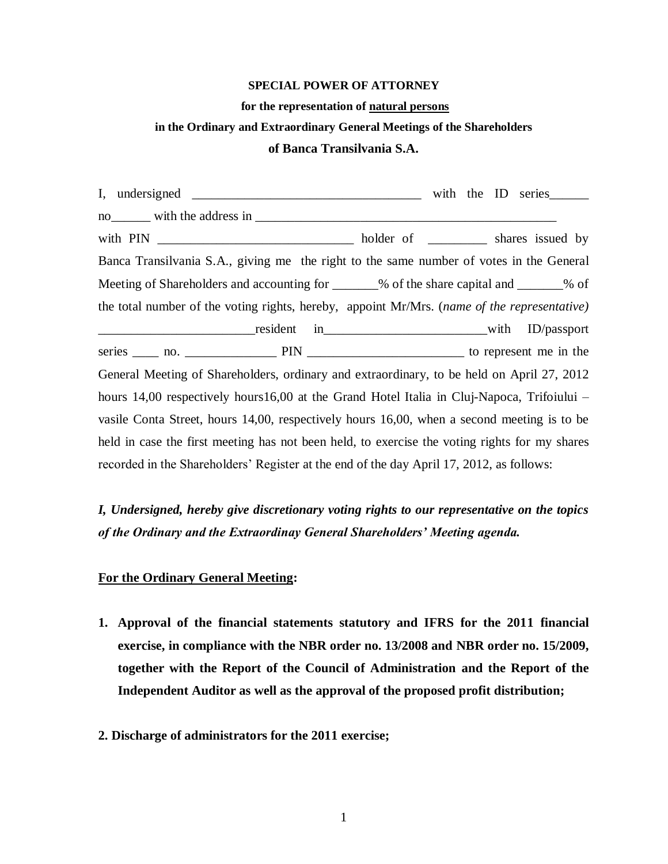#### **SPECIAL POWER OF ATTORNEY**

#### **for the representation of natural persons**

#### **in the Ordinary and Extraordinary General Meetings of the Shareholders**

### **of Banca Transilvania S.A.**

I, undersigned \_\_\_\_\_\_\_\_\_\_\_\_\_\_\_\_\_\_\_\_\_\_\_\_\_\_\_\_\_\_\_\_\_\_\_ with the ID series\_\_\_\_\_\_ no\_\_\_\_\_\_ with the address in \_\_\_\_\_\_\_\_\_\_\_\_\_\_\_\_\_\_\_\_\_\_\_\_\_\_\_\_\_\_\_\_\_\_\_\_\_\_\_\_\_\_\_\_\_\_ with PIN \_\_\_\_\_\_\_\_\_\_\_\_\_\_\_\_\_\_\_\_\_\_\_\_\_\_\_\_\_\_ holder of \_\_\_\_\_\_\_\_\_ shares issued by Banca Transilvania S.A., giving me the right to the same number of votes in the General Meeting of Shareholders and accounting for  $\%$  of the share capital and  $\%$  of the total number of the voting rights, hereby, appoint Mr/Mrs. (*name of the representative)* \_\_\_\_\_\_\_\_\_\_\_\_\_\_\_\_\_\_\_\_\_\_\_\_resident in\_\_\_\_\_\_\_\_\_\_\_\_\_\_\_\_\_\_\_\_\_\_\_\_\_with ID/passport series \_\_\_\_ no. \_\_\_\_\_\_\_\_\_\_\_\_\_\_ PIN \_\_\_\_\_\_\_\_\_\_\_\_\_\_\_\_\_\_\_\_\_\_\_\_ to represent me in the General Meeting of Shareholders, ordinary and extraordinary, to be held on April 27, 2012 hours 14,00 respectively hours16,00 at the Grand Hotel Italia in Cluj-Napoca, Trifoiului – vasile Conta Street, hours 14,00, respectively hours 16,00, when a second meeting is to be held in case the first meeting has not been held, to exercise the voting rights for my shares recorded in the Shareholders' Register at the end of the day April 17, 2012, as follows:

*I, Undersigned, hereby give discretionary voting rights to our representative on the topics of the Ordinary and the Extraordinay General Shareholders' Meeting agenda.*

# **For the Ordinary General Meeting:**

- **1. Approval of the financial statements statutory and IFRS for the 2011 financial exercise, in compliance with the NBR order no. 13/2008 and NBR order no. 15/2009, together with the Report of the Council of Administration and the Report of the Independent Auditor as well as the approval of the proposed profit distribution;**
- **2. Discharge of administrators for the 2011 exercise;**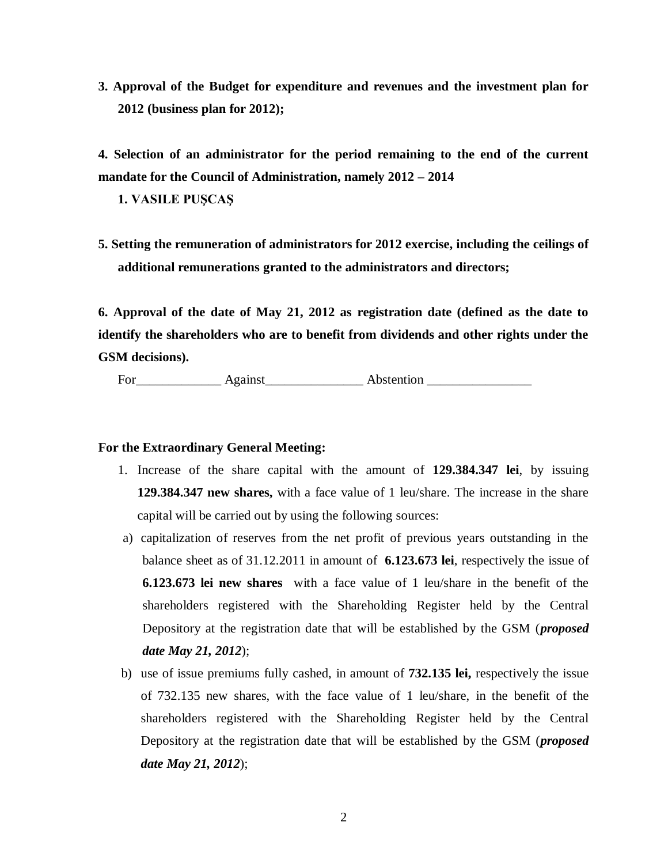**3. Approval of the Budget for expenditure and revenues and the investment plan for 2012 (business plan for 2012);** 

**4. Selection of an administrator for the period remaining to the end of the current mandate for the Council of Administration, namely 2012 – 2014**

**1. VASILE PUŞCAŞ**

**5. Setting the remuneration of administrators for 2012 exercise, including the ceilings of additional remunerations granted to the administrators and directors;** 

**6. Approval of the date of May 21, 2012 as registration date (defined as the date to identify the shareholders who are to benefit from dividends and other rights under the GSM decisions).**

For Against Abstention

# **For the Extraordinary General Meeting:**

- 1. Increase of the share capital with the amount of **129.384.347 lei**, by issuing **129.384.347 new shares,** with a face value of 1 leu/share. The increase in the share capital will be carried out by using the following sources:
- a) capitalization of reserves from the net profit of previous years outstanding in the balance sheet as of 31.12.2011 in amount of **6.123.673 lei**, respectively the issue of **6.123.673 lei new shares** with a face value of 1 leu/share in the benefit of the shareholders registered with the Shareholding Register held by the Central Depository at the registration date that will be established by the GSM (*proposed date May 21, 2012*);
- b) use of issue premiums fully cashed, in amount of **732.135 lei,** respectively the issue of 732.135 new shares, with the face value of 1 leu/share, in the benefit of the shareholders registered with the Shareholding Register held by the Central Depository at the registration date that will be established by the GSM (*proposed date May 21, 2012*);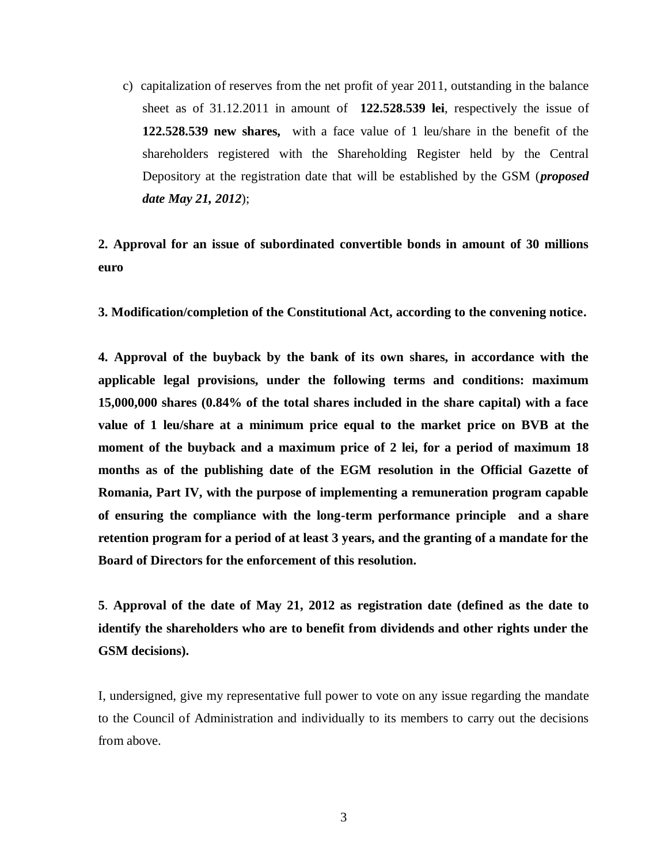c) capitalization of reserves from the net profit of year 2011, outstanding in the balance sheet as of 31.12.2011 in amount of **122.528.539 lei**, respectively the issue of **122.528.539 new shares,** with a face value of 1 leu/share in the benefit of the shareholders registered with the Shareholding Register held by the Central Depository at the registration date that will be established by the GSM (*proposed date May 21, 2012*);

# **2. Approval for an issue of subordinated convertible bonds in amount of 30 millions euro**

**3. Modification/completion of the Constitutional Act, according to the convening notice.**

**4. Approval of the buyback by the bank of its own shares, in accordance with the applicable legal provisions, under the following terms and conditions: maximum 15,000,000 shares (0.84% of the total shares included in the share capital) with a face value of 1 leu/share at a minimum price equal to the market price on BVB at the moment of the buyback and a maximum price of 2 lei, for a period of maximum 18 months as of the publishing date of the EGM resolution in the Official Gazette of Romania, Part IV, with the purpose of implementing a remuneration program capable of ensuring the compliance with the long-term performance principle and a share retention program for a period of at least 3 years, and the granting of a mandate for the Board of Directors for the enforcement of this resolution.** 

**5**. **Approval of the date of May 21, 2012 as registration date (defined as the date to identify the shareholders who are to benefit from dividends and other rights under the GSM decisions).**

I, undersigned, give my representative full power to vote on any issue regarding the mandate to the Council of Administration and individually to its members to carry out the decisions from above.